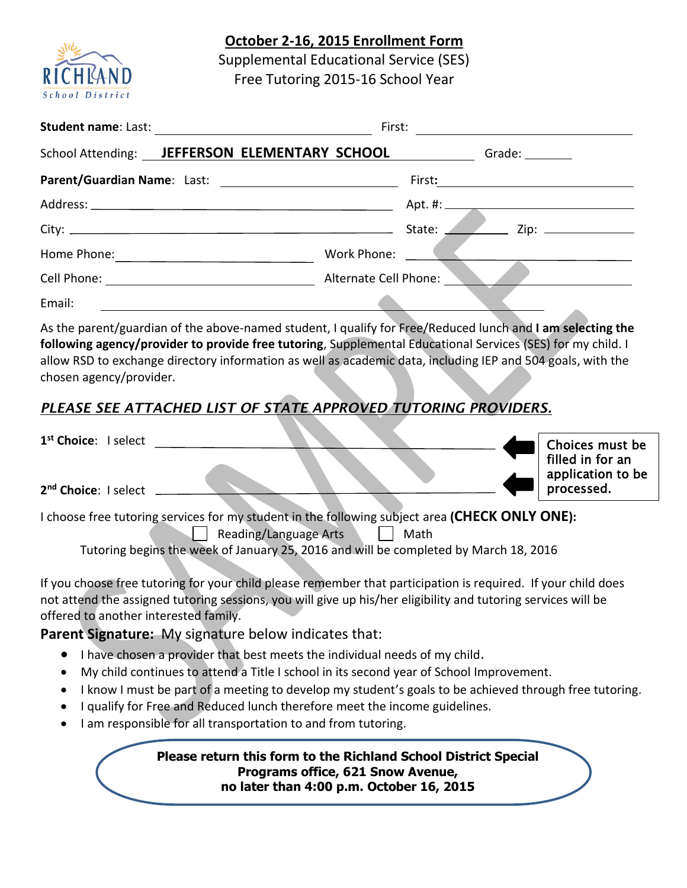## **October 2-16, 2015 Enrollment Form**



Supplemental Educational Service (SES) Free Tutoring 2015-16 School Year

| <b>Student name: Last:</b>                          | First:<br><u> 1989 - Andrea Britain, politik e</u> ta eta p |  |  |  |  |
|-----------------------------------------------------|-------------------------------------------------------------|--|--|--|--|
| School Attending: JEFFERSON ELEMENTARY SCHOOL       | Grade: ________                                             |  |  |  |  |
|                                                     | First:                                                      |  |  |  |  |
|                                                     |                                                             |  |  |  |  |
|                                                     | Zip: $\qquad \qquad$<br>State:                              |  |  |  |  |
| Home Phone:                                         | Work Phone:                                                 |  |  |  |  |
| Cell Phone: <u>________________________________</u> | Alternate Cell Phone: _                                     |  |  |  |  |
| Email:                                              |                                                             |  |  |  |  |

As the parent/guardian of the above-named student, I qualify for Free/Reduced lunch and **I am selecting the following agency/provider to provide free tutoring**, Supplemental Educational Services (SES) for my child. I allow RSD to exchange directory information as well as academic data, including IEP and 504 goals, with the chosen agency/provider.

## *PLEASE SEE ATTACHED LIST OF STATE APPROVED TUTORING PROVIDERS.*

| 1 <sup>st</sup> Choice: I select                                                               |  |  | Choices must be<br>filled in for an<br>application to be |
|------------------------------------------------------------------------------------------------|--|--|----------------------------------------------------------|
| 2 <sup>nd</sup> Choice: I select                                                               |  |  | processed.                                               |
| I choose free tutoring services for my student in the following subject area (CHECK ONLY ONE): |  |  |                                                          |

 $\vert$  Reading/Language Arts  $\vert$   $\vert$  Math

Tutoring begins the week of January 25, 2016 and will be completed by March 18, 2016

If you choose free tutoring for your child please remember that participation is required. If your child does not attend the assigned tutoring sessions, you will give up his/her eligibility and tutoring services will be offered to another interested family.

**Parent Signature:** My signature below indicates that:

- $\bullet$  I have chosen a provider that best meets the individual needs of my child.
- My child continues to attend a Title I school in its second year of School Improvement.
- I know I must be part of a meeting to develop my student's goals to be achieved through free tutoring.
- I qualify for Free and Reduced lunch therefore meet the income guidelines.
- I am responsible for all transportation to and from tutoring.

**Please return this form to the Richland School District Special Programs office, 621 Snow Avenue, no later than 4:00 p.m. October 16, 2015**